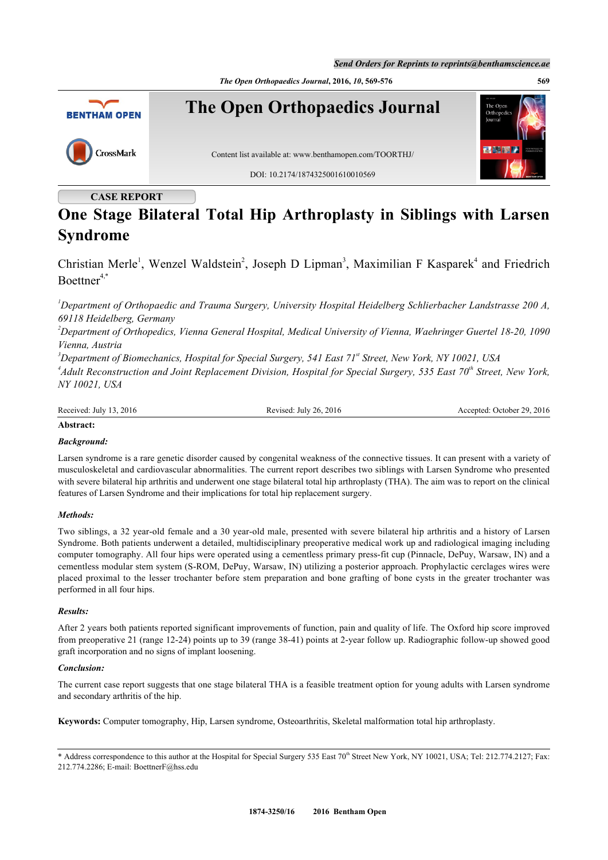*The Open Orthopaedics Journal***, 2016,** *10***, 569-576 569**



# **CASE REPORT**

# **One Stage Bilateral Total Hip Arthroplasty in Siblings with Larsen Syndrome**

Christian Merle<sup>[1](#page-0-0)</sup>, Wenzel Waldstein<sup>[2](#page-0-1)</sup>, Joseph D Lipman<sup>[3](#page-0-2)</sup>, Maximilian F Kasparek<sup>[4](#page-0-3)</sup> and Friedrich  $Boettner<sup>4,*</sup>$  $Boettner<sup>4,*</sup>$  $Boettner<sup>4,*</sup>$  $Boettner<sup>4,*</sup>$  $Boettner<sup>4,*</sup>$ 

<span id="page-0-0"></span>*<sup>1</sup>Department of Orthopaedic and Trauma Surgery, University Hospital Heidelberg Schlierbacher Landstrasse 200 A, 69118 Heidelberg, Germany*

<span id="page-0-1"></span>*<sup>2</sup>Department of Orthopedics, Vienna General Hospital, Medical University of Vienna, Waehringer Guertel 18-20, 1090 Vienna, Austria*

<span id="page-0-2"></span>*<sup>3</sup>Department of Biomechanics, Hospital for Special Surgery, 541 East 71st Street, New York, NY 10021, USA*

<span id="page-0-3"></span>*4 Adult Reconstruction and Joint Replacement Division, Hospital for Special Surgery, 535 East 70th Street, New York, NY 10021, USA*

Received: July 13, 2016 Revised: July 26, 2016 Revised: October 29, 2016 Accepted: October 29, 2016

### **Abstract:**

### *Background:*

Larsen syndrome is a rare genetic disorder caused by congenital weakness of the connective tissues. It can present with a variety of musculoskeletal and cardiovascular abnormalities. The current report describes two siblings with Larsen Syndrome who presented with severe bilateral hip arthritis and underwent one stage bilateral total hip arthroplasty (THA). The aim was to report on the clinical features of Larsen Syndrome and their implications for total hip replacement surgery.

### *Methods:*

Two siblings, a 32 year-old female and a 30 year-old male, presented with severe bilateral hip arthritis and a history of Larsen Syndrome. Both patients underwent a detailed, multidisciplinary preoperative medical work up and radiological imaging including computer tomography. All four hips were operated using a cementless primary press-fit cup (Pinnacle, DePuy, Warsaw, IN) and a cementless modular stem system (S-ROM, DePuy, Warsaw, IN) utilizing a posterior approach. Prophylactic cerclages wires were placed proximal to the lesser trochanter before stem preparation and bone grafting of bone cysts in the greater trochanter was performed in all four hips.

### *Results:*

After 2 years both patients reported significant improvements of function, pain and quality of life. The Oxford hip score improved from preoperative 21 (range 12-24) points up to 39 (range 38-41) points at 2-year follow up. Radiographic follow-up showed good graft incorporation and no signs of implant loosening.

### *Conclusion:*

The current case report suggests that one stage bilateral THA is a feasible treatment option for young adults with Larsen syndrome and secondary arthritis of the hip.

**Keywords:** Computer tomography, Hip, Larsen syndrome, Osteoarthritis, Skeletal malformation total hip arthroplasty.

<span id="page-0-4"></span><sup>\*</sup> Address correspondence to this author at the Hospital for Special Surgery 535 East 70<sup>th</sup> Street New York, NY 10021, USA; Tel: 212.774.2127; Fax: 212.774.2286; E-mail: [BoettnerF@hss.edu](mailto:BoettnerF@hss.edu)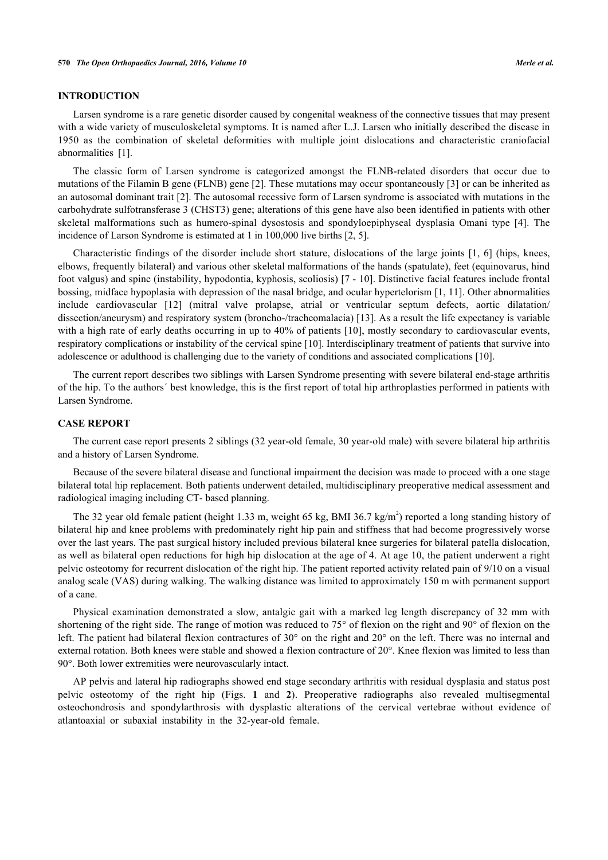### **INTRODUCTION**

Larsen syndrome is a rare genetic disorder caused by congenital weakness of the connective tissues that may present with a wide variety of musculoskeletal symptoms. It is named after L.J. Larsen who initially described the disease in 1950 as the combination of skeletal deformities with multiple joint dislocations and characteristic craniofacial abnormalities[[1\]](#page-6-0).

The classic form of Larsen syndrome is categorized amongst the FLNB-related disorders that occur due to mutations of the Filamin B gene (FLNB) gene [[2\]](#page-6-1). These mutations may occur spontaneously [[3](#page-6-2)] or can be inherited as an autosomal dominant trait [\[2\]](#page-6-1). The autosomal recessive form of Larsen syndrome is associated with mutations in the carbohydrate sulfotransferase 3 (CHST3) gene; alterations of this gene have also been identified in patients with other skeletal malformations such as humero-spinal dysostosis and spondyloepiphyseal dysplasia Omani type [\[4](#page-6-3)]. The incidence of Larson Syndrome is estimated at 1 in 100,000 live births [[2,](#page-6-1) [5\]](#page-6-4).

Characteristic findings of the disorder include short stature, dislocations of the large joints [\[1](#page-6-0), [6\]](#page-6-5) (hips, knees, elbows, frequently bilateral) and various other skeletal malformations of the hands (spatulate), feet (equinovarus, hind foot valgus) and spine (instability, hypodontia, kyphosis, scoliosis) [[7](#page-6-6) - [10\]](#page-6-7). Distinctive facial features include frontal bossing, midface hypoplasia with depression of the nasal bridge, and ocular hypertelorism [[1](#page-6-0), [11](#page-6-8)]. Other abnormalities include cardiovascular[[12\]](#page-6-9) (mitral valve prolapse, atrial or ventricular septum defects, aortic dilatation/ dissection/aneurysm) and respiratory system (broncho-/tracheomalacia) [[13\]](#page-6-10). As a result the life expectancy is variable with a high rate of early deaths occurring in up to 40% of patients [[10\]](#page-6-7), mostly secondary to cardiovascular events, respiratory complications or instability of the cervical spine [[10\]](#page-6-7). Interdisciplinary treatment of patients that survive into adolescence or adulthood is challenging due to the variety of conditions and associated complications [[10\]](#page-6-7).

The current report describes two siblings with Larsen Syndrome presenting with severe bilateral end-stage arthritis of the hip. To the authors´ best knowledge, this is the first report of total hip arthroplasties performed in patients with Larsen Syndrome.

### **CASE REPORT**

The current case report presents 2 siblings (32 year-old female, 30 year-old male) with severe bilateral hip arthritis and a history of Larsen Syndrome.

Because of the severe bilateral disease and functional impairment the decision was made to proceed with a one stage bilateral total hip replacement. Both patients underwent detailed, multidisciplinary preoperative medical assessment and radiological imaging including CT- based planning.

The 32 year old female patient (height 1.33 m, weight 65 kg, BMI 36.7 kg/m<sup>2</sup>) reported a long standing history of bilateral hip and knee problems with predominately right hip pain and stiffness that had become progressively worse over the last years. The past surgical history included previous bilateral knee surgeries for bilateral patella dislocation, as well as bilateral open reductions for high hip dislocation at the age of 4. At age 10, the patient underwent a right pelvic osteotomy for recurrent dislocation of the right hip. The patient reported activity related pain of 9/10 on a visual analog scale (VAS) during walking. The walking distance was limited to approximately 150 m with permanent support of a cane.

Physical examination demonstrated a slow, antalgic gait with a marked leg length discrepancy of 32 mm with shortening of the right side. The range of motion was reduced to 75° of flexion on the right and 90° of flexion on the left. The patient had bilateral flexion contractures of 30° on the right and 20° on the left. There was no internal and external rotation. Both knees were stable and showed a flexion contracture of 20°. Knee flexion was limited to less than 90°. Both lower extremities were neurovascularly intact.

<span id="page-1-0"></span>AP pelvis and lateral hip radiographs showed end stage secondary arthritis with residual dysplasia and status post pelvic osteotomy of the right hip (Figs.**1** and**2**). Preoperative radiographs also revealed multisegmental osteochondrosis and spondylarthrosis with dysplastic alterations of the cervical vertebrae without evidence of atlantoaxial or subaxial instability in the 32-year-old female.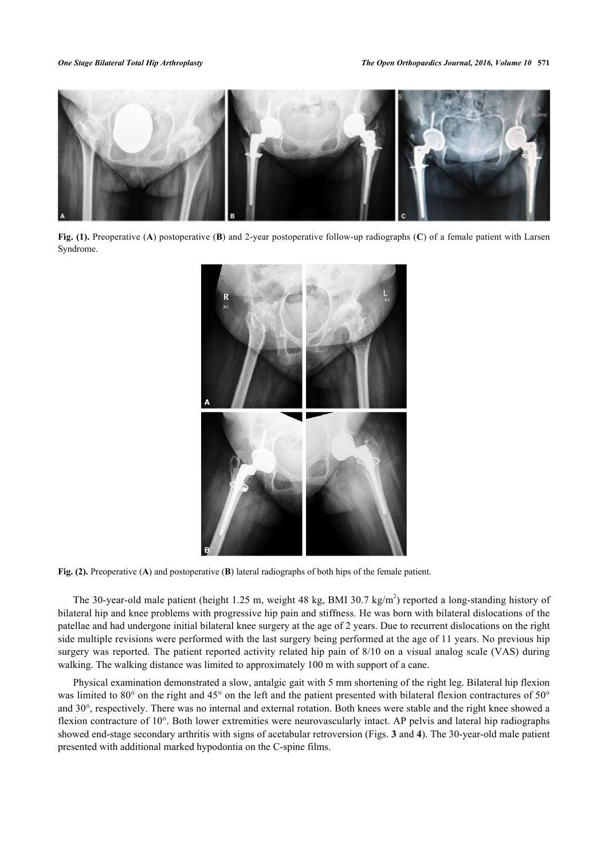

<span id="page-2-0"></span>**Fig. (1).** Preoperative (**A**) postoperative (**B**) and 2-year postoperative follow-up radiographs (**C**) of a female patient with Larsen Syndrome.



**Fig. (2).** Preoperative (**A**) and postoperative (**B**) lateral radiographs of both hips of the female patient.

The 30-year-old male patient (height 1.25 m, weight 48 kg, BMI 30.7 kg/m<sup>2</sup>) reported a long-standing history of bilateral hip and knee problems with progressive hip pain and stiffness. He was born with bilateral dislocations of the patellae and had undergone initial bilateral knee surgery at the age of 2 years. Due to recurrent dislocations on the right side multiple revisions were performed with the last surgery being performed at the age of 11 years. No previous hip surgery was reported. The patient reported activity related hip pain of 8/10 on a visual analog scale (VAS) during walking. The walking distance was limited to approximately 100 m with support of a cane.

<span id="page-2-1"></span>Physical examination demonstrated a slow, antalgic gait with 5 mm shortening of the right leg. Bilateral hip flexion was limited to 80° on the right and 45° on the left and the patient presented with bilateral flexion contractures of 50° and 30°, respectively. There was no internal and external rotation. Both knees were stable and the right knee showed a flexion contracture of 10°. Both lower extremities were neurovascularly intact. AP pelvis and lateral hip radiographs showed end-stage secondary arthritis with signs of acetabular retroversion (Figs. **[3](#page-2-1)** and **[4](#page-3-0)**). The 30-year-old male patient presented with additional marked hypodontia on the C-spine films.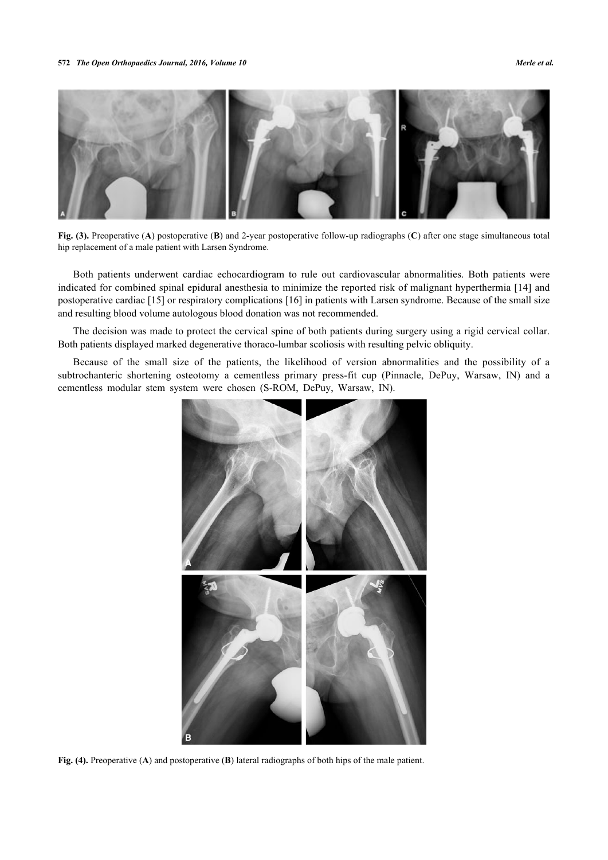

**Fig. (3).** Preoperative (**A**) postoperative (**B**) and 2-year postoperative follow-up radiographs (**C**) after one stage simultaneous total hip replacement of a male patient with Larsen Syndrome.

Both patients underwent cardiac echocardiogram to rule out cardiovascular abnormalities. Both patients were indicated for combined spinal epidural anesthesia to minimize the reported risk of malignant hyperthermia [\[14](#page-6-11)] and postoperative cardiac [[15\]](#page-6-12) or respiratory complications [[16\]](#page-6-13) in patients with Larsen syndrome. Because of the small size and resulting blood volume autologous blood donation was not recommended.

The decision was made to protect the cervical spine of both patients during surgery using a rigid cervical collar. Both patients displayed marked degenerative thoraco-lumbar scoliosis with resulting pelvic obliquity.

Because of the small size of the patients, the likelihood of version abnormalities and the possibility of a subtrochanteric shortening osteotomy a cementless primary press-fit cup (Pinnacle, DePuy, Warsaw, IN) and a cementless modular stem system were chosen (S-ROM, DePuy, Warsaw, IN).

<span id="page-3-0"></span>

**Fig. (4).** Preoperative (**A**) and postoperative (**B**) lateral radiographs of both hips of the male patient.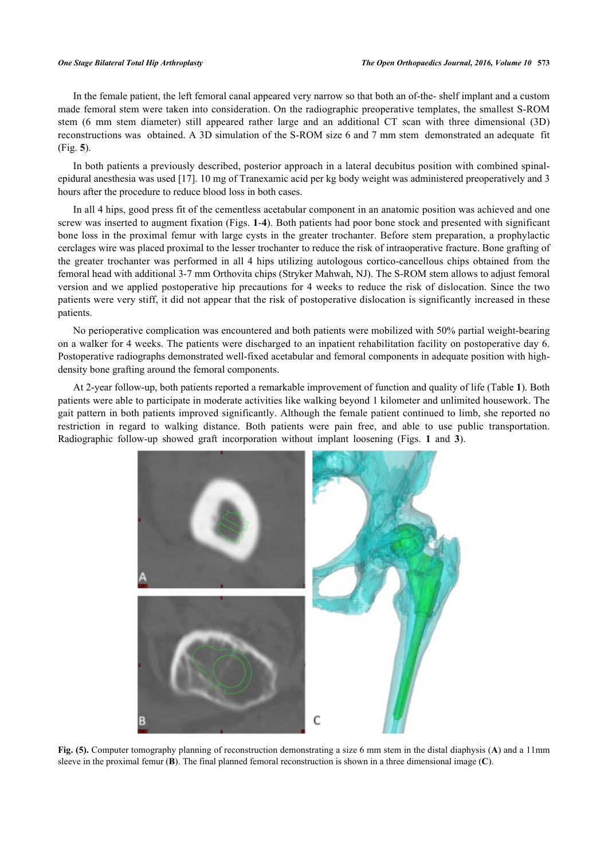In the female patient, the left femoral canal appeared very narrow so that both an of-the- shelf implant and a custom made femoral stem were taken into consideration. On the radiographic preoperative templates, the smallest S-ROM stem (6 mm stem diameter) still appeared rather large and an additional CT scan with three dimensional (3D) reconstructions was obtained. A 3D simulation of the S-ROM size 6 and 7 mm stem demonstrated an adequate fit (Fig. **[5](#page-4-0)**).

In both patients a previously described, posterior approach in a lateral decubitus position with combined spinalepidural anesthesia was used [[17\]](#page-6-14). 10 mg of Tranexamic acid per kg body weight was administered preoperatively and 3 hours after the procedure to reduce blood loss in both cases.

In all 4 hips, good press fit of the cementless acetabular component in an anatomic position was achieved and one screw was inserted to augment fixation (Figs. **[1](#page-1-0)**-**[4](#page-3-0)**). Both patients had poor bone stock and presented with significant bone loss in the proximal femur with large cysts in the greater trochanter. Before stem preparation, a prophylactic cerclages wire was placed proximal to the lesser trochanter to reduce the risk of intraoperative fracture. Bone grafting of the greater trochanter was performed in all 4 hips utilizing autologous cortico-cancellous chips obtained from the femoral head with additional 3-7 mm Orthovita chips (Stryker Mahwah, NJ). The S-ROM stem allows to adjust femoral version and we applied postoperative hip precautions for 4 weeks to reduce the risk of dislocation. Since the two patients were very stiff, it did not appear that the risk of postoperative dislocation is significantly increased in these patients.

No perioperative complication was encountered and both patients were mobilized with 50% partial weight-bearing on a walker for 4 weeks. The patients were discharged to an inpatient rehabilitation facility on postoperative day 6. Postoperative radiographs demonstrated well-fixed acetabular and femoral components in adequate position with highdensity bone grafting around the femoral components.

At 2-year follow-up, both patients reported a remarkable improvement of function and quality of life (Table **[1](#page-5-0)**). Both patients were able to participate in moderate activities like walking beyond 1 kilometer and unlimited housework. The gait pattern in both patients improved significantly. Although the female patient continued to limb, she reported no restriction in regard to walking distance. Both patients were pain free, and able to use public transportation. Radiographic follow-up showed graft incorporation without implant loosening (Figs.**1** and**3**).

<span id="page-4-0"></span>

**Fig. (5).** Computer tomography planning of reconstruction demonstrating a size 6 mm stem in the distal diaphysis (**A**) and a 11mm sleeve in the proximal femur (**B**). The final planned femoral reconstruction is shown in a three dimensional image (**C**).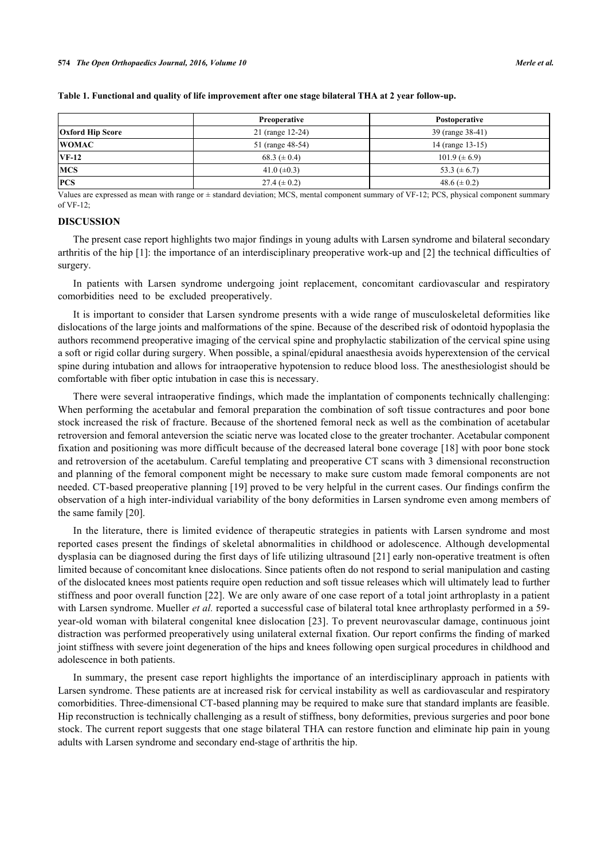|                         | Preoperative      | Postoperative       |
|-------------------------|-------------------|---------------------|
| <b>Oxford Hip Score</b> | 21 (range 12-24)  | 39 (range 38-41)    |
| <b>WOMAC</b>            | 51 (range 48-54)  | 14 (range 13-15)    |
| $VF-12$                 | 68.3 ( $\pm$ 0.4) | $101.9 \ (\pm 6.9)$ |
| <b>MCS</b>              | 41.0 $(\pm 0.3)$  | 53.3 ( $\pm$ 6.7)   |
| <b>PCS</b>              | $27.4 (\pm 0.2)$  | 48.6 ( $\pm$ 0.2)   |

### <span id="page-5-0"></span>**Table 1. Functional and quality of life improvement after one stage bilateral THA at 2 year follow-up.**

Values are expressed as mean with range or ± standard deviation; MCS, mental component summary of VF-12; PCS, physical component summary of VF-12;

### **DISCUSSION**

The present case report highlights two major findings in young adults with Larsen syndrome and bilateral secondary arthritis of the hip [\[1](#page-6-0)]: the importance of an interdisciplinary preoperative work-up and [[2\]](#page-6-1) the technical difficulties of surgery.

In patients with Larsen syndrome undergoing joint replacement, concomitant cardiovascular and respiratory comorbidities need to be excluded preoperatively.

It is important to consider that Larsen syndrome presents with a wide range of musculoskeletal deformities like dislocations of the large joints and malformations of the spine. Because of the described risk of odontoid hypoplasia the authors recommend preoperative imaging of the cervical spine and prophylactic stabilization of the cervical spine using a soft or rigid collar during surgery. When possible, a spinal/epidural anaesthesia avoids hyperextension of the cervical spine during intubation and allows for intraoperative hypotension to reduce blood loss. The anesthesiologist should be comfortable with fiber optic intubation in case this is necessary.

There were several intraoperative findings, which made the implantation of components technically challenging: When performing the acetabular and femoral preparation the combination of soft tissue contractures and poor bone stock increased the risk of fracture. Because of the shortened femoral neck as well as the combination of acetabular retroversion and femoral anteversion the sciatic nerve was located close to the greater trochanter. Acetabular component fixation and positioning was more difficult because of the decreased lateral bone coverage [\[18\]](#page-6-15) with poor bone stock and retroversion of the acetabulum. Careful templating and preoperative CT scans with 3 dimensional reconstruction and planning of the femoral component might be necessary to make sure custom made femoral components are not needed. CT-based preoperative planning [[19\]](#page-7-0) proved to be very helpful in the current cases. Our findings confirm the observation of a high inter-individual variability of the bony deformities in Larsen syndrome even among members of the same family [\[20](#page-7-1)].

In the literature, there is limited evidence of therapeutic strategies in patients with Larsen syndrome and most reported cases present the findings of skeletal abnormalities in childhood or adolescence. Although developmental dysplasia can be diagnosed during the first days of life utilizing ultrasound [[21\]](#page-7-2) early non-operative treatment is often limited because of concomitant knee dislocations. Since patients often do not respond to serial manipulation and casting of the dislocated knees most patients require open reduction and soft tissue releases which will ultimately lead to further stiffness and poor overall function [\[22](#page-7-3)]. We are only aware of one case report of a total joint arthroplasty in a patient with Larsen syndrome. Mueller *et al.* reported a successful case of bilateral total knee arthroplasty performed in a 59year-old woman with bilateral congenital knee dislocation [[23\]](#page-7-4). To prevent neurovascular damage, continuous joint distraction was performed preoperatively using unilateral external fixation. Our report confirms the finding of marked joint stiffness with severe joint degeneration of the hips and knees following open surgical procedures in childhood and adolescence in both patients.

In summary, the present case report highlights the importance of an interdisciplinary approach in patients with Larsen syndrome. These patients are at increased risk for cervical instability as well as cardiovascular and respiratory comorbidities. Three-dimensional CT-based planning may be required to make sure that standard implants are feasible. Hip reconstruction is technically challenging as a result of stiffness, bony deformities, previous surgeries and poor bone stock. The current report suggests that one stage bilateral THA can restore function and eliminate hip pain in young adults with Larsen syndrome and secondary end-stage of arthritis the hip.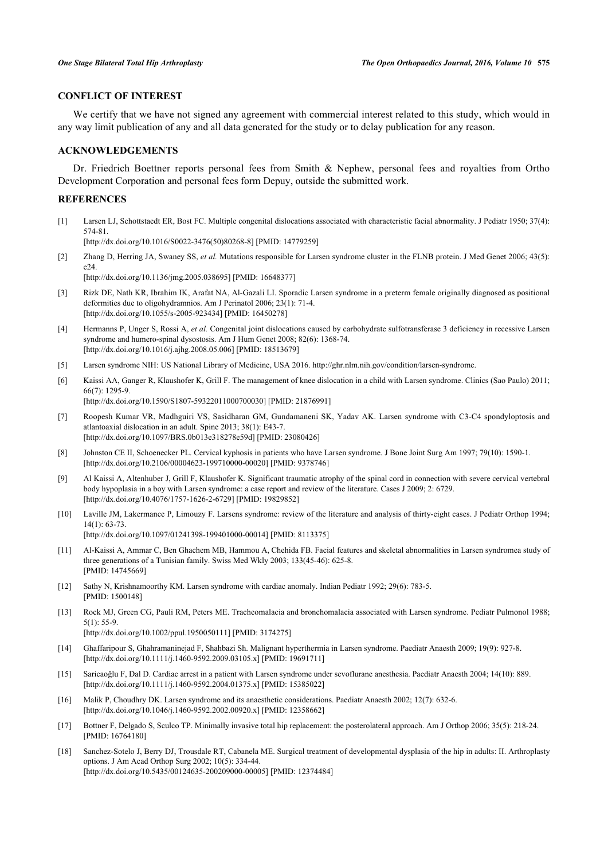## **CONFLICT OF INTEREST**

We certify that we have not signed any agreement with commercial interest related to this study, which would in any way limit publication of any and all data generated for the study or to delay publication for any reason.

# **ACKNOWLEDGEMENTS**

Dr. Friedrich Boettner reports personal fees from Smith & Nephew, personal fees and royalties from Ortho Development Corporation and personal fees form Depuy, outside the submitted work.

### **REFERENCES**

<span id="page-6-0"></span>[1] Larsen LJ, Schottstaedt ER, Bost FC. Multiple congenital dislocations associated with characteristic facial abnormality. J Pediatr 1950; 37(4): 574-81.

[\[http://dx.doi.org/10.1016/S0022-3476\(50\)80268-8\]](http://dx.doi.org/10.1016/S0022-3476(50)80268-8) [PMID: [14779259](http://www.ncbi.nlm.nih.gov/pubmed/14779259)]

- <span id="page-6-1"></span>[2] Zhang D, Herring JA, Swaney SS, *et al.* Mutations responsible for Larsen syndrome cluster in the FLNB protein. J Med Genet 2006; 43(5): e24. [\[http://dx.doi.org/10.1136/jmg.2005.038695](http://dx.doi.org/10.1136/jmg.2005.038695)] [PMID: [16648377\]](http://www.ncbi.nlm.nih.gov/pubmed/16648377)
- <span id="page-6-2"></span>[3] Rizk DE, Nath KR, Ibrahim IK, Arafat NA, Al-Gazali LI. Sporadic Larsen syndrome in a preterm female originally diagnosed as positional deformities due to oligohydramnios. Am J Perinatol 2006; 23(1): 71-4. [\[http://dx.doi.org/10.1055/s-2005-923434](http://dx.doi.org/10.1055/s-2005-923434)] [PMID: [16450278\]](http://www.ncbi.nlm.nih.gov/pubmed/16450278)
- <span id="page-6-3"></span>[4] Hermanns P, Unger S, Rossi A, *et al.* Congenital joint dislocations caused by carbohydrate sulfotransferase 3 deficiency in recessive Larsen syndrome and humero-spinal dysostosis. Am J Hum Genet 2008; 82(6): 1368-74. [\[http://dx.doi.org/10.1016/j.ajhg.2008.05.006\]](http://dx.doi.org/10.1016/j.ajhg.2008.05.006) [PMID: [18513679](http://www.ncbi.nlm.nih.gov/pubmed/18513679)]
- <span id="page-6-4"></span>[5] Larsen syndrome NIH: US National Library of Medicine, USA 2016. [http://ghr.nlm.nih.gov/condition/larsen-syndrome.](http://ghr.nlm.nih.gov/condition/larsen-syndrome)
- <span id="page-6-5"></span>[6] Kaissi AA, Ganger R, Klaushofer K, Grill F. The management of knee dislocation in a child with Larsen syndrome. Clinics (Sao Paulo) 2011; 66(7): 1295-9. [\[http://dx.doi.org/10.1590/S1807-59322011000700030\]](http://dx.doi.org/10.1590/S1807-59322011000700030) [PMID: [21876991](http://www.ncbi.nlm.nih.gov/pubmed/21876991)]
- <span id="page-6-6"></span>[7] Roopesh Kumar VR, Madhguiri VS, Sasidharan GM, Gundamaneni SK, Yadav AK. Larsen syndrome with C3-C4 spondyloptosis and atlantoaxial dislocation in an adult. Spine 2013; 38(1): E43-7. [\[http://dx.doi.org/10.1097/BRS.0b013e318278e59d](http://dx.doi.org/10.1097/BRS.0b013e318278e59d)] [PMID: [23080426\]](http://www.ncbi.nlm.nih.gov/pubmed/23080426)
- [8] Johnston CE II, Schoenecker PL. Cervical kyphosis in patients who have Larsen syndrome. J Bone Joint Surg Am 1997; 79(10): 1590-1. [\[http://dx.doi.org/10.2106/00004623-199710000-00020](http://dx.doi.org/10.2106/00004623-199710000-00020)] [PMID: [9378746\]](http://www.ncbi.nlm.nih.gov/pubmed/9378746)
- [9] Al Kaissi A, Altenhuber J, Grill F, Klaushofer K. Significant traumatic atrophy of the spinal cord in connection with severe cervical vertebral body hypoplasia in a boy with Larsen syndrome: a case report and review of the literature. Cases J 2009; 2: 6729. [\[http://dx.doi.org/10.4076/1757-1626-2-6729\]](http://dx.doi.org/10.4076/1757-1626-2-6729) [PMID: [19829852](http://www.ncbi.nlm.nih.gov/pubmed/19829852)]
- <span id="page-6-7"></span>[10] Laville JM, Lakermance P, Limouzy F. Larsens syndrome: review of the literature and analysis of thirty-eight cases. J Pediatr Orthop 1994; 14(1): 63-73. [\[http://dx.doi.org/10.1097/01241398-199401000-00014](http://dx.doi.org/10.1097/01241398-199401000-00014)] [PMID: [8113375\]](http://www.ncbi.nlm.nih.gov/pubmed/8113375)
- <span id="page-6-8"></span>[11] Al-Kaissi A, Ammar C, Ben Ghachem MB, Hammou A, Chehida FB. Facial features and skeletal abnormalities in Larsen syndromea study of three generations of a Tunisian family. Swiss Med Wkly 2003; 133(45-46): 625-8. [PMID: [14745669\]](http://www.ncbi.nlm.nih.gov/pubmed/14745669)
- <span id="page-6-9"></span>[12] Sathy N, Krishnamoorthy KM. Larsen syndrome with cardiac anomaly. Indian Pediatr 1992; 29(6): 783-5. [PMID: [1500148\]](http://www.ncbi.nlm.nih.gov/pubmed/1500148)
- <span id="page-6-10"></span>[13] Rock MJ, Green CG, Pauli RM, Peters ME. Tracheomalacia and bronchomalacia associated with Larsen syndrome. Pediatr Pulmonol 1988; 5(1): 55-9. [\[http://dx.doi.org/10.1002/ppul.1950050111](http://dx.doi.org/10.1002/ppul.1950050111)] [PMID: [3174275\]](http://www.ncbi.nlm.nih.gov/pubmed/3174275)
- <span id="page-6-11"></span>[14] Ghaffaripour S, Ghahramaninejad F, Shahbazi Sh. Malignant hyperthermia in Larsen syndrome. Paediatr Anaesth 2009; 19(9): 927-8. [\[http://dx.doi.org/10.1111/j.1460-9592.2009.03105.x\]](http://dx.doi.org/10.1111/j.1460-9592.2009.03105.x) [PMID: [19691711](http://www.ncbi.nlm.nih.gov/pubmed/19691711)]
- <span id="page-6-12"></span>[15] Saricaoğlu F, Dal D. Cardiac arrest in a patient with Larsen syndrome under sevoflurane anesthesia. Paediatr Anaesth 2004; 14(10): 889. [\[http://dx.doi.org/10.1111/j.1460-9592.2004.01375.x\]](http://dx.doi.org/10.1111/j.1460-9592.2004.01375.x) [PMID: [15385022](http://www.ncbi.nlm.nih.gov/pubmed/15385022)]
- <span id="page-6-13"></span>[16] Malik P, Choudhry DK. Larsen syndrome and its anaesthetic considerations. Paediatr Anaesth 2002; 12(7): 632-6. [\[http://dx.doi.org/10.1046/j.1460-9592.2002.00920.x\]](http://dx.doi.org/10.1046/j.1460-9592.2002.00920.x) [PMID: [12358662](http://www.ncbi.nlm.nih.gov/pubmed/12358662)]
- <span id="page-6-14"></span>[17] Bottner F, Delgado S, Sculco TP. Minimally invasive total hip replacement: the posterolateral approach. Am J Orthop 2006; 35(5): 218-24. [PMID: [16764180\]](http://www.ncbi.nlm.nih.gov/pubmed/16764180)
- <span id="page-6-15"></span>[18] Sanchez-Sotelo J, Berry DJ, Trousdale RT, Cabanela ME. Surgical treatment of developmental dysplasia of the hip in adults: II. Arthroplasty options. J Am Acad Orthop Surg 2002; 10(5): 334-44. [\[http://dx.doi.org/10.5435/00124635-200209000-00005](http://dx.doi.org/10.5435/00124635-200209000-00005)] [PMID: [12374484\]](http://www.ncbi.nlm.nih.gov/pubmed/12374484)